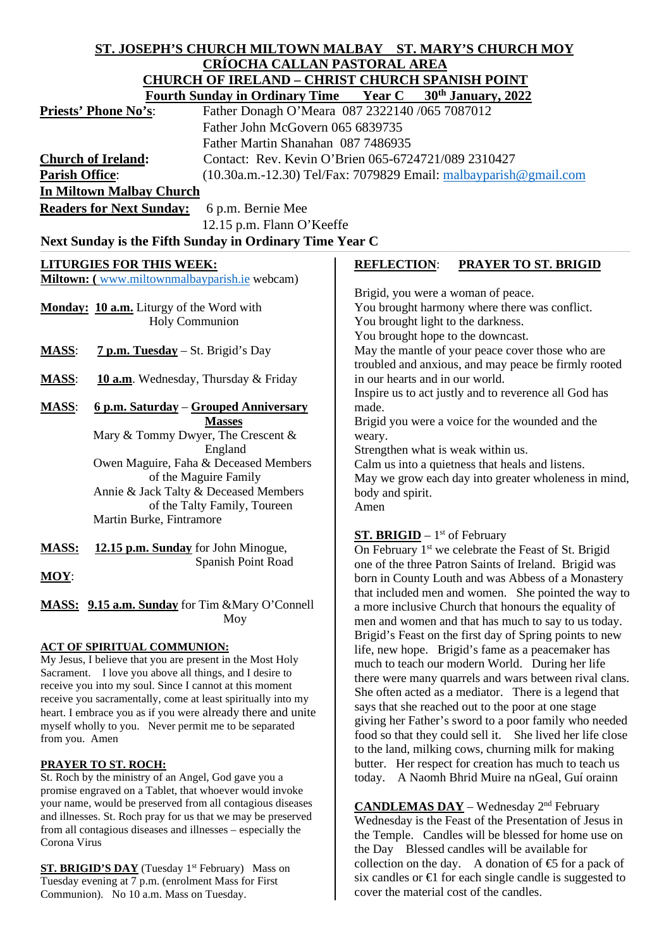# **ST. JOSEPH'S CHURCH MILTOWN MALBAY ST. MARY'S CHURCH MOY CRÍOCHA CALLAN PASTORAL AREA CHURCH OF IRELAND – CHRIST CHURCH SPANISH POINT**

|                       | <b>Fourth Sunday in Ordinary Time Year C</b>            | 30 <sup>th</sup> January, 2022                                                                            |
|-----------------------|---------------------------------------------------------|-----------------------------------------------------------------------------------------------------------|
|                       | Priests' Phone No's:                                    | Father Donagh O'Meara 087 2322140 /065 7087012                                                            |
|                       | Father John McGovern 065 6839735                        |                                                                                                           |
|                       | Father Martin Shanahan 087 7486935                      |                                                                                                           |
|                       | <b>Church of Ireland:</b>                               | Contact: Rev. Kevin O'Brien 065-6724721/089 2310427                                                       |
| <b>Parish Office:</b> |                                                         | $(10.30a.m.-12.30)$ Tel/Fax: 7079829 Email: $malbayparish@gmail.com$                                      |
|                       | <b>In Miltown Malbay Church</b>                         |                                                                                                           |
|                       | <b>Readers for Next Sunday:</b><br>6 p.m. Bernie Mee    |                                                                                                           |
|                       | 12.15 p.m. Flann O'Keeffe                               |                                                                                                           |
|                       | Next Sunday is the Fifth Sunday in Ordinary Time Year C |                                                                                                           |
|                       | <b>LITURGIES FOR THIS WEEK:</b>                         | <b>REFLECTION:</b><br>PRAYER TO ST. BRIGID                                                                |
|                       | Miltown: (www.miltownmalbayparish.ie webcam)            |                                                                                                           |
|                       |                                                         | Brigid, you were a woman of peace.                                                                        |
|                       | Monday: 10 a.m. Liturgy of the Word with                | You brought harmony where there was conflict.                                                             |
|                       | <b>Holy Communion</b>                                   | You brought light to the darkness.<br>You brought hope to the downcast.                                   |
| <b>MASS:</b>          | 7 p.m. Tuesday - St. Brigid's Day                       | May the mantle of your peace cover those who are                                                          |
|                       |                                                         | troubled and anxious, and may peace be firmly rooted                                                      |
| <b>MASS:</b>          | 10 a.m. Wednesday, Thursday & Friday                    | in our hearts and in our world.                                                                           |
|                       |                                                         | Inspire us to act justly and to reverence all God has                                                     |
| <b>MASS:</b>          | 6 p.m. Saturday – Grouped Anniversary                   | made.                                                                                                     |
|                       | <b>Masses</b>                                           | Brigid you were a voice for the wounded and the                                                           |
|                       | Mary & Tommy Dwyer, The Crescent &                      | weary.                                                                                                    |
|                       | England<br>Owen Maguire, Faha & Deceased Members        | Strengthen what is weak within us.<br>Calm us into a quietness that heals and listens.                    |
|                       | of the Maguire Family                                   | May we grow each day into greater wholeness in mind,                                                      |
|                       | Annie & Jack Talty & Deceased Members                   | body and spirit.                                                                                          |
|                       | of the Talty Family, Toureen                            | Amen                                                                                                      |
|                       | Martin Burke, Fintramore                                |                                                                                                           |
|                       |                                                         | <b>ST. BRIGID</b> – $1st$ of February                                                                     |
| MASS:                 | 12.15 p.m. Sunday for John Minogue,                     | On February 1 <sup>st</sup> we celebrate the Feast of St. Brigid                                          |
| $MOY$ :               | Spanish Point Road                                      | one of the three Patron Saints of Ireland. Brigid was                                                     |
|                       |                                                         | born in County Louth and was Abbess of a Monastery<br>that included men and women. She pointed the way to |
|                       | MASS: 9.15 a.m. Sunday for Tim & Mary O'Connell         | a more inclusive Church that honours the equality of                                                      |
|                       | Moy                                                     | men and women and that has much to say to us today.                                                       |
|                       |                                                         | Brigid's Feast on the first day of Spring points to new                                                   |

#### **ACT OF SPIRITUAL COMMUNION:**

My Jesus, I believe that you are present in the Most Holy Sacrament. I love you above all things, and I desire to receive you into my soul. Since I cannot at this moment receive you sacramentally, come at least spiritually into my heart. I embrace you as if you were already there and unite myself wholly to you. Never permit me to be separated from you. Amen

## **PRAYER TO ST. ROCH:**

St. Roch by the ministry of an Angel, God gave you a promise engraved on a Tablet, that whoever would invoke your name, would be preserved from all contagious diseases and illnesses. St. Roch pray for us that we may be preserved from all contagious diseases and illnesses – especially the Corona Virus

**ST. BRIGID'S DAY** (Tuesday 1<sup>st</sup> February) Mass on Tuesday evening at 7 p.m. (enrolment Mass for First Communion). No 10 a.m. Mass on Tuesday.

Brigid's Feast on the first day of Spring points to new life, new hope. Brigid's fame as a peacemaker has much to teach our modern World. During her life there were many quarrels and wars between rival clans. She often acted as a mediator. There is a legend that says that she reached out to the poor at one stage giving her Father's sword to a poor family who needed food so that they could sell it. She lived her life close to the land, milking cows, churning milk for making butter. Her respect for creation has much to teach us today. A Naomh Bhrid Muire na nGeal, Guí orainn

**CANDLEMAS DAY** – Wednesday 2nd February Wednesday is the Feast of the Presentation of Jesus in the Temple. Candles will be blessed for home use on the Day Blessed candles will be available for collection on the day. A donation of  $\epsilon$  for a pack of six candles or  $\bigoplus$  for each single candle is suggested to cover the material cost of the candles.